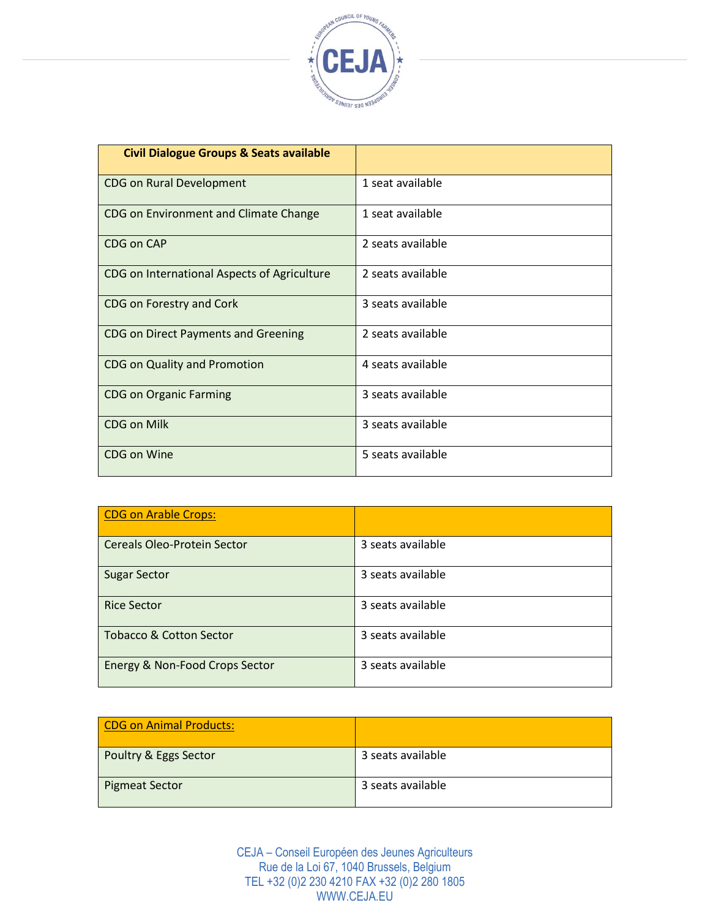

| <b>Civil Dialogue Groups &amp; Seats available</b> |                   |
|----------------------------------------------------|-------------------|
| <b>CDG on Rural Development</b>                    | 1 seat available  |
| CDG on Environment and Climate Change              | 1 seat available  |
| CDG on CAP                                         | 2 seats available |
| CDG on International Aspects of Agriculture        | 2 seats available |
| CDG on Forestry and Cork                           | 3 seats available |
| <b>CDG on Direct Payments and Greening</b>         | 2 seats available |
| CDG on Quality and Promotion                       | 4 seats available |
| <b>CDG on Organic Farming</b>                      | 3 seats available |
| <b>CDG on Milk</b>                                 | 3 seats available |
| <b>CDG on Wine</b>                                 | 5 seats available |

| <b>CDG on Arable Crops:</b>        |                   |
|------------------------------------|-------------------|
| <b>Cereals Oleo-Protein Sector</b> | 3 seats available |
| <b>Sugar Sector</b>                | 3 seats available |
| <b>Rice Sector</b>                 | 3 seats available |
| <b>Tobacco &amp; Cotton Sector</b> | 3 seats available |
| Energy & Non-Food Crops Sector     | 3 seats available |

| CDG on Animal Products: |                   |
|-------------------------|-------------------|
| Poultry & Eggs Sector   | 3 seats available |
| Pigmeat Sector          | 3 seats available |

CEJA – Conseil Européen des Jeunes Agriculteurs Rue de la Loi 67, 1040 Brussels, Belgium TEL +32 (0)2 230 4210 FAX +32 (0)2 280 1805 WWW.CEJA.EU